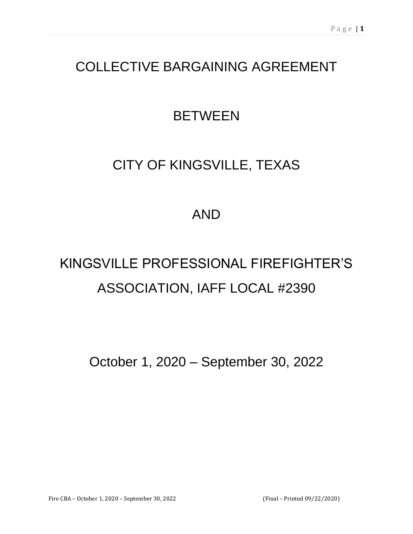# COLLECTIVE BARGAINING AGREEMENT

# **BETWEEN**

# CITY OF KINGSVILLE, TEXAS

## AND

# KINGSVILLE PROFESSIONAL FIREFIGHTER'S ASSOCIATION, IAFF LOCAL #2390

October 1, 2020 – September 30, 2022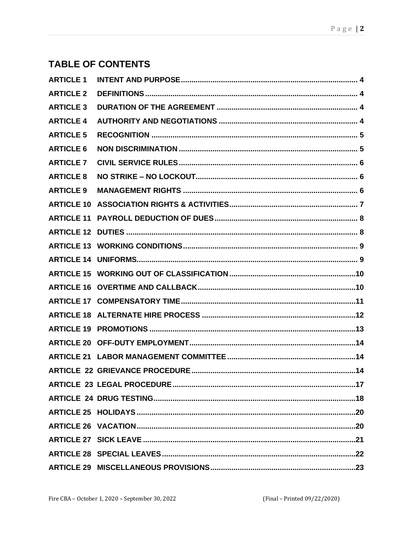### **TABLE OF CONTENTS**

| <b>ARTICLE 1</b> |  |
|------------------|--|
| <b>ARTICLE 2</b> |  |
| <b>ARTICLE 3</b> |  |
| <b>ARTICLE 4</b> |  |
| <b>ARTICLE 5</b> |  |
| <b>ARTICLE 6</b> |  |
| <b>ARTICLE 7</b> |  |
| <b>ARTICLE 8</b> |  |
| <b>ARTICLE 9</b> |  |
|                  |  |
|                  |  |
|                  |  |
|                  |  |
|                  |  |
|                  |  |
|                  |  |
|                  |  |
|                  |  |
|                  |  |
|                  |  |
|                  |  |
|                  |  |
|                  |  |
|                  |  |
|                  |  |
|                  |  |
|                  |  |
|                  |  |
|                  |  |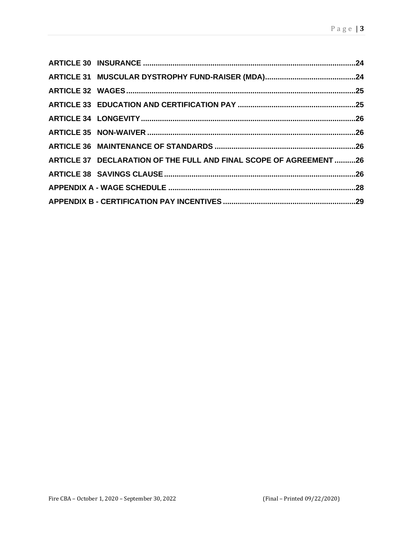| ARTICLE 37 DECLARATION OF THE FULL AND FINAL SCOPE OF AGREEMENT 26 |  |
|--------------------------------------------------------------------|--|
|                                                                    |  |
|                                                                    |  |
|                                                                    |  |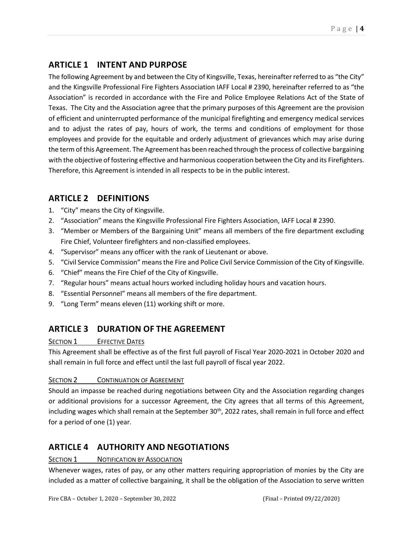#### <span id="page-3-0"></span>**ARTICLE 1 INTENT AND PURPOSE**

The following Agreement by and between the City of Kingsville, Texas, hereinafter referred to as "the City" and the Kingsville Professional Fire Fighters Association IAFF Local # 2390, hereinafter referred to as "the Association" is recorded in accordance with the Fire and Police Employee Relations Act of the State of Texas. The City and the Association agree that the primary purposes of this Agreement are the provision of efficient and uninterrupted performance of the municipal firefighting and emergency medical services and to adjust the rates of pay, hours of work, the terms and conditions of employment for those employees and provide for the equitable and orderly adjustment of grievances which may arise during the term of this Agreement. The Agreement has been reached through the process of collective bargaining with the objective of fostering effective and harmonious cooperation between the City and its Firefighters. Therefore, this Agreement is intended in all respects to be in the public interest.

#### <span id="page-3-1"></span>**ARTICLE 2 DEFINITIONS**

- 1. "City" means the City of Kingsville.
- 2. "Association" means the Kingsville Professional Fire Fighters Association, IAFF Local # 2390.
- 3. "Member or Members of the Bargaining Unit" means all members of the fire department excluding Fire Chief, Volunteer firefighters and non-classified employees.
- 4. "Supervisor" means any officer with the rank of Lieutenant or above.
- 5. "Civil Service Commission" means the Fire and Police Civil Service Commission of the City of Kingsville.
- 6. "Chief" means the Fire Chief of the City of Kingsville.
- 7. "Regular hours" means actual hours worked including holiday hours and vacation hours.
- 8. "Essential Personnel" means all members of the fire department.
- 9. "Long Term" means eleven (11) working shift or more.

#### <span id="page-3-2"></span>**ARTICLE 3 DURATION OF THE AGREEMENT**

#### **SECTION 1** EFFECTIVE DATES

This Agreement shall be effective as of the first full payroll of Fiscal Year 2020-2021 in October 2020 and shall remain in full force and effect until the last full payroll of fiscal year 2022.

#### SECTION 2 CONTINUATION OF AGREEMENT

Should an impasse be reached during negotiations between City and the Association regarding changes or additional provisions for a successor Agreement, the City agrees that all terms of this Agreement, including wages which shall remain at the September 30<sup>th</sup>, 2022 rates, shall remain in full force and effect for a period of one (1) year.

#### <span id="page-3-3"></span>**ARTICLE 4 AUTHORITY AND NEGOTIATIONS**

#### SECTION 1 NOTIFICATION BY ASSOCIATION

Whenever wages, rates of pay, or any other matters requiring appropriation of monies by the City are included as a matter of collective bargaining, it shall be the obligation of the Association to serve written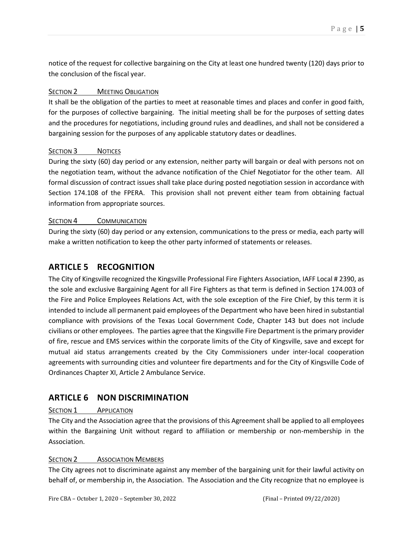notice of the request for collective bargaining on the City at least one hundred twenty (120) days prior to the conclusion of the fiscal year.

#### SECTION 2 MEETING OBLIGATION

It shall be the obligation of the parties to meet at reasonable times and places and confer in good faith, for the purposes of collective bargaining. The initial meeting shall be for the purposes of setting dates and the procedures for negotiations, including ground rules and deadlines, and shall not be considered a bargaining session for the purposes of any applicable statutory dates or deadlines.

#### SECTION 3 NOTICES

During the sixty (60) day period or any extension, neither party will bargain or deal with persons not on the negotiation team, without the advance notification of the Chief Negotiator for the other team. All formal discussion of contract issues shall take place during posted negotiation session in accordance with Section 174.108 of the FPERA. This provision shall not prevent either team from obtaining factual information from appropriate sources.

#### SECTION 4 COMMUNICATION

During the sixty (60) day period or any extension, communications to the press or media, each party will make a written notification to keep the other party informed of statements or releases.

#### <span id="page-4-0"></span>**ARTICLE 5 RECOGNITION**

The City of Kingsville recognized the Kingsville Professional Fire Fighters Association, IAFF Local # 2390, as the sole and exclusive Bargaining Agent for all Fire Fighters as that term is defined in Section 174.003 of the Fire and Police Employees Relations Act, with the sole exception of the Fire Chief, by this term it is intended to include all permanent paid employees of the Department who have been hired in substantial compliance with provisions of the Texas Local Government Code, Chapter 143 but does not include civilians or other employees. The parties agree that the Kingsville Fire Department is the primary provider of fire, rescue and EMS services within the corporate limits of the City of Kingsville, save and except for mutual aid status arrangements created by the City Commissioners under inter-local cooperation agreements with surrounding cities and volunteer fire departments and for the City of Kingsville Code of Ordinances Chapter XI, Article 2 Ambulance Service.

#### <span id="page-4-1"></span>**ARTICLE 6 NON DISCRIMINATION**

#### SECTION 1 **APPLICATION**

The City and the Association agree that the provisions of this Agreement shall be applied to all employees within the Bargaining Unit without regard to affiliation or membership or non-membership in the Association.

#### SECTION 2 **ASSOCIATION MEMBERS**

The City agrees not to discriminate against any member of the bargaining unit for their lawful activity on behalf of, or membership in, the Association. The Association and the City recognize that no employee is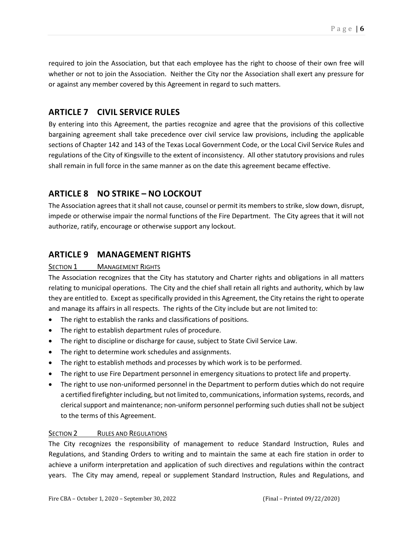required to join the Association, but that each employee has the right to choose of their own free will whether or not to join the Association. Neither the City nor the Association shall exert any pressure for or against any member covered by this Agreement in regard to such matters.

#### <span id="page-5-0"></span>**ARTICLE 7 CIVIL SERVICE RULES**

By entering into this Agreement, the parties recognize and agree that the provisions of this collective bargaining agreement shall take precedence over civil service law provisions, including the applicable sections of Chapter 142 and 143 of the Texas Local Government Code, or the Local Civil Service Rules and regulations of the City of Kingsville to the extent of inconsistency. All other statutory provisions and rules shall remain in full force in the same manner as on the date this agreement became effective.

#### <span id="page-5-1"></span>**ARTICLE 8 NO STRIKE – NO LOCKOUT**

The Association agrees that it shall not cause, counsel or permit its members to strike, slow down, disrupt, impede or otherwise impair the normal functions of the Fire Department. The City agrees that it will not authorize, ratify, encourage or otherwise support any lockout.

#### <span id="page-5-2"></span>**ARTICLE 9 MANAGEMENT RIGHTS**

#### SECTION 1 MANAGEMENT RIGHTS

The Association recognizes that the City has statutory and Charter rights and obligations in all matters relating to municipal operations. The City and the chief shall retain all rights and authority, which by law they are entitled to. Except as specifically provided in this Agreement, the City retains the right to operate and manage its affairs in all respects. The rights of the City include but are not limited to:

- The right to establish the ranks and classifications of positions.
- The right to establish department rules of procedure.
- The right to discipline or discharge for cause, subject to State Civil Service Law.
- The right to determine work schedules and assignments.
- The right to establish methods and processes by which work is to be performed.
- The right to use Fire Department personnel in emergency situations to protect life and property.
- The right to use non-uniformed personnel in the Department to perform duties which do not require a certified firefighter including, but not limited to, communications, information systems, records, and clerical support and maintenance; non-uniform personnel performing such duties shall not be subject to the terms of this Agreement.

#### SECTION 2 RULES AND REGULATIONS

The City recognizes the responsibility of management to reduce Standard Instruction, Rules and Regulations, and Standing Orders to writing and to maintain the same at each fire station in order to achieve a uniform interpretation and application of such directives and regulations within the contract years. The City may amend, repeal or supplement Standard Instruction, Rules and Regulations, and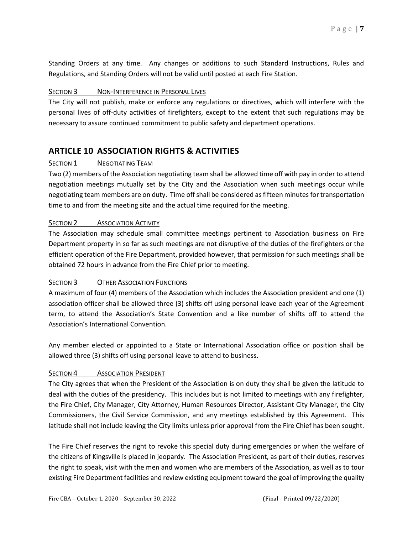Standing Orders at any time. Any changes or additions to such Standard Instructions, Rules and Regulations, and Standing Orders will not be valid until posted at each Fire Station.

#### SECTION 3 NON-INTERFERENCE IN PERSONAL LIVES

The City will not publish, make or enforce any regulations or directives, which will interfere with the personal lives of off-duty activities of firefighters, except to the extent that such regulations may be necessary to assure continued commitment to public safety and department operations.

#### <span id="page-6-0"></span>**ARTICLE 10 ASSOCIATION RIGHTS & ACTIVITIES**

#### **SECTION 1** NEGOTIATING TEAM

Two (2) members of the Association negotiating team shall be allowed time off with pay in order to attend negotiation meetings mutually set by the City and the Association when such meetings occur while negotiating team members are on duty. Time off shall be considered as fifteen minutes for transportation time to and from the meeting site and the actual time required for the meeting.

#### SECTION 2 **ASSOCIATION ACTIVITY**

The Association may schedule small committee meetings pertinent to Association business on Fire Department property in so far as such meetings are not disruptive of the duties of the firefighters or the efficient operation of the Fire Department, provided however, that permission for such meetings shall be obtained 72 hours in advance from the Fire Chief prior to meeting.

#### SECTION 3 OTHER ASSOCIATION FUNCTIONS

A maximum of four (4) members of the Association which includes the Association president and one (1) association officer shall be allowed three (3) shifts off using personal leave each year of the Agreement term, to attend the Association's State Convention and a like number of shifts off to attend the Association's International Convention.

Any member elected or appointed to a State or International Association office or position shall be allowed three (3) shifts off using personal leave to attend to business.

#### SECTION 4 ASSOCIATION PRESIDENT

The City agrees that when the President of the Association is on duty they shall be given the latitude to deal with the duties of the presidency. This includes but is not limited to meetings with any firefighter, the Fire Chief, City Manager, City Attorney, Human Resources Director, Assistant City Manager, the City Commissioners, the Civil Service Commission, and any meetings established by this Agreement. This latitude shall not include leaving the City limits unless prior approval from the Fire Chief has been sought.

The Fire Chief reserves the right to revoke this special duty during emergencies or when the welfare of the citizens of Kingsville is placed in jeopardy. The Association President, as part of their duties, reserves the right to speak, visit with the men and women who are members of the Association, as well as to tour existing Fire Department facilities and review existing equipment toward the goal of improving the quality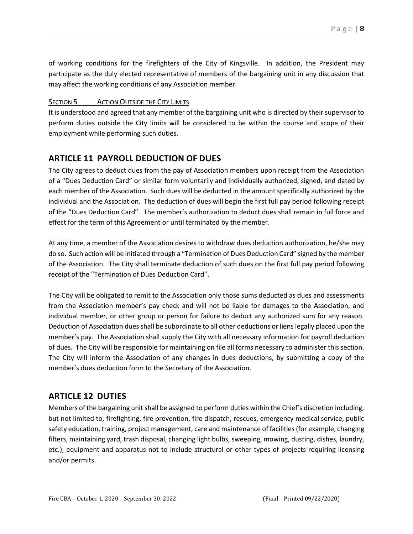of working conditions for the firefighters of the City of Kingsville. In addition, the President may participate as the duly elected representative of members of the bargaining unit in any discussion that may affect the working conditions of any Association member.

#### SECTION 5 ACTION OUTSIDE THE CITY LIMITS

It is understood and agreed that any member of the bargaining unit who is directed by their supervisor to perform duties outside the City limits will be considered to be within the course and scope of their employment while performing such duties.

#### <span id="page-7-0"></span>**ARTICLE 11 PAYROLL DEDUCTION OF DUES**

The City agrees to deduct dues from the pay of Association members upon receipt from the Association of a "Dues Deduction Card" or similar form voluntarily and individually authorized, signed, and dated by each member of the Association. Such dues will be deducted in the amount specifically authorized by the individual and the Association. The deduction of dues will begin the first full pay period following receipt of the "Dues Deduction Card". The member's authorization to deduct dues shall remain in full force and effect for the term of this Agreement or until terminated by the member.

At any time, a member of the Association desires to withdraw dues deduction authorization, he/she may do so. Such action will be initiated through a "Termination of Dues Deduction Card" signed by the member of the Association. The City shall terminate deduction of such dues on the first full pay period following receipt of the "Termination of Dues Deduction Card".

The City will be obligated to remit to the Association only those sums deducted as dues and assessments from the Association member's pay check and will not be liable for damages to the Association, and individual member, or other group or person for failure to deduct any authorized sum for any reason. Deduction of Association dues shall be subordinate to all other deductions or liens legally placed upon the member's pay. The Association shall supply the City with all necessary information for payroll deduction of dues. The City will be responsible for maintaining on file all forms necessary to administer this section. The City will inform the Association of any changes in dues deductions, by submitting a copy of the member's dues deduction form to the Secretary of the Association.

#### <span id="page-7-1"></span>**ARTICLE 12 DUTIES**

Members of the bargaining unit shall be assigned to perform duties within the Chief's discretion including, but not limited to, firefighting, fire prevention, fire dispatch, rescues, emergency medical service, public safety education, training, project management, care and maintenance of facilities(for example, changing filters, maintaining yard, trash disposal, changing light bulbs, sweeping, mowing, dusting, dishes, laundry, etc.), equipment and apparatus not to include structural or other types of projects requiring licensing and/or permits.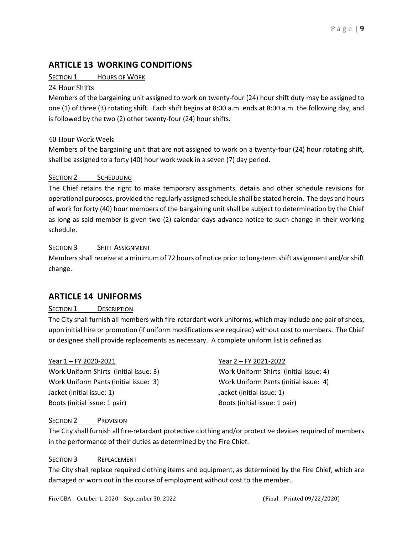#### <span id="page-8-0"></span>**ARTICLE 13 WORKING CONDITIONS**

#### SECTION 1 HOURS OF WORK

#### 24 Hour Shifts

Members of the bargaining unit assigned to work on twenty-four (24) hour shift duty may be assigned to one (1) of three (3) rotating shift. Each shift begins at 8:00 a.m. ends at 8:00 a.m. the following day, and is followed by the two (2) other twenty-four (24) hour shifts.

#### 40 Hour Work Week

Members of the bargaining unit that are not assigned to work on a twenty-four (24) hour rotating shift, shall be assigned to a forty (40) hour work week in a seven (7) day period.

#### SECTION 2 SCHEDULING

The Chief retains the right to make temporary assignments, details and other schedule revisions for operational purposes, provided the regularly assigned schedule shall be stated herein. The days and hours of work for forty (40) hour members of the bargaining unit shall be subject to determination by the Chief as long as said member is given two (2) calendar days advance notice to such change in their working schedule.

#### SECTION 3 SHIFT ASSIGNMENT

Members shall receive at a minimum of 72 hours of notice prior to long-term shift assignment and/or shift change.

#### <span id="page-8-1"></span>**ARTICLE 14 UNIFORMS**

#### SECTION 1 DESCRIPTION

The City shall furnish all members with fire-retardant work uniforms, which may include one pair of shoes, upon initial hire or promotion (if uniform modifications are required) without cost to members. The Chief or designee shall provide replacements as necessary. A complete uniform list is defined as

Work Uniform Shirts (initial issue: 3) Work Uniform Shirts (initial issue: 4) Work Uniform Pants (initial issue: 3) Work Uniform Pants (initial issue: 4) Jacket (initial issue: 1) Jacket (initial issue: 1) Boots (initial issue: 1 pair) Boots (initial issue: 1 pair)

#### Year 1 – FY 2020-2021 Year 2 – FY 2021-2022

#### SECTION 2 PROVISION

The City shall furnish all fire-retardant protective clothing and/or protective devices required of members in the performance of their duties as determined by the Fire Chief.

#### SECTION 3 REPLACEMENT

The City shall replace required clothing items and equipment, as determined by the Fire Chief, which are damaged or worn out in the course of employment without cost to the member.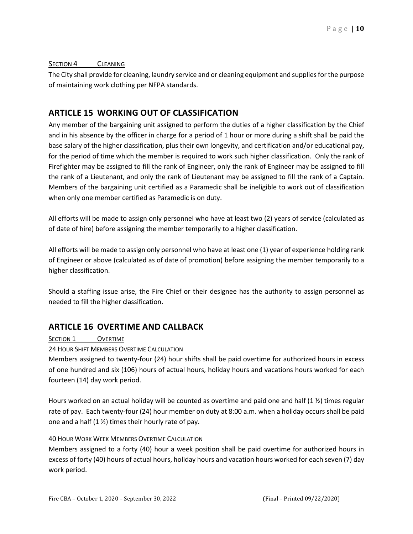#### SECTION 4 CLEANING

The City shall provide for cleaning, laundry service and or cleaning equipment and supplies for the purpose of maintaining work clothing per NFPA standards.

#### <span id="page-9-0"></span>**ARTICLE 15 WORKING OUT OF CLASSIFICATION**

Any member of the bargaining unit assigned to perform the duties of a higher classification by the Chief and in his absence by the officer in charge for a period of 1 hour or more during a shift shall be paid the base salary of the higher classification, plus their own longevity, and certification and/or educational pay, for the period of time which the member is required to work such higher classification. Only the rank of Firefighter may be assigned to fill the rank of Engineer, only the rank of Engineer may be assigned to fill the rank of a Lieutenant, and only the rank of Lieutenant may be assigned to fill the rank of a Captain. Members of the bargaining unit certified as a Paramedic shall be ineligible to work out of classification when only one member certified as Paramedic is on duty.

All efforts will be made to assign only personnel who have at least two (2) years of service (calculated as of date of hire) before assigning the member temporarily to a higher classification.

All efforts will be made to assign only personnel who have at least one (1) year of experience holding rank of Engineer or above (calculated as of date of promotion) before assigning the member temporarily to a higher classification.

Should a staffing issue arise, the Fire Chief or their designee has the authority to assign personnel as needed to fill the higher classification.

#### <span id="page-9-1"></span>**ARTICLE 16 OVERTIME AND CALLBACK**

#### SECTION 1 **OVERTIME**

24 HOUR SHIFT MEMBERS OVERTIME CALCULATION

Members assigned to twenty-four (24) hour shifts shall be paid overtime for authorized hours in excess of one hundred and six (106) hours of actual hours, holiday hours and vacations hours worked for each fourteen (14) day work period.

Hours worked on an actual holiday will be counted as overtime and paid one and half (1 ½) times regular rate of pay. Each twenty-four (24) hour member on duty at 8:00 a.m. when a holiday occurs shall be paid one and a half  $(1 \frac{1}{2})$  times their hourly rate of pay.

#### 40 HOUR WORK WEEK MEMBERS OVERTIME CALCULATION

Members assigned to a forty (40) hour a week position shall be paid overtime for authorized hours in excess of forty (40) hours of actual hours, holiday hours and vacation hours worked for each seven (7) day work period.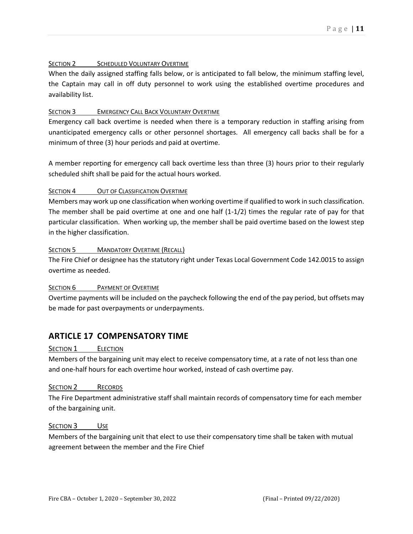#### SECTION 2 SCHEDULED VOLUNTARY OVERTIME

When the daily assigned staffing falls below, or is anticipated to fall below, the minimum staffing level, the Captain may call in off duty personnel to work using the established overtime procedures and availability list.

#### SECTION 3 EMERGENCY CALL BACK VOLUNTARY OVERTIME

Emergency call back overtime is needed when there is a temporary reduction in staffing arising from unanticipated emergency calls or other personnel shortages. All emergency call backs shall be for a minimum of three (3) hour periods and paid at overtime.

A member reporting for emergency call back overtime less than three (3) hours prior to their regularly scheduled shift shall be paid for the actual hours worked.

#### SECTION 4 OUT OF CLASSIFICATION OVERTIME

Members may work up one classification when working overtime if qualified to work in such classification. The member shall be paid overtime at one and one half (1-1/2) times the regular rate of pay for that particular classification. When working up, the member shall be paid overtime based on the lowest step in the higher classification.

#### SECTION 5 MANDATORY OVERTIME (RECALL)

The Fire Chief or designee has the statutory right under Texas Local Government Code 142.0015 to assign overtime as needed.

#### SECTION 6 PAYMENT OF OVERTIME

Overtime payments will be included on the paycheck following the end of the pay period, but offsets may be made for past overpayments or underpayments.

#### <span id="page-10-0"></span>**ARTICLE 17 COMPENSATORY TIME**

#### SECTION 1 **ELECTION**

Members of the bargaining unit may elect to receive compensatory time, at a rate of not less than one and one-half hours for each overtime hour worked, instead of cash overtime pay.

#### SECTION 2 RECORDS

The Fire Department administrative staff shall maintain records of compensatory time for each member of the bargaining unit.

#### SECTION 3 USE

Members of the bargaining unit that elect to use their compensatory time shall be taken with mutual agreement between the member and the Fire Chief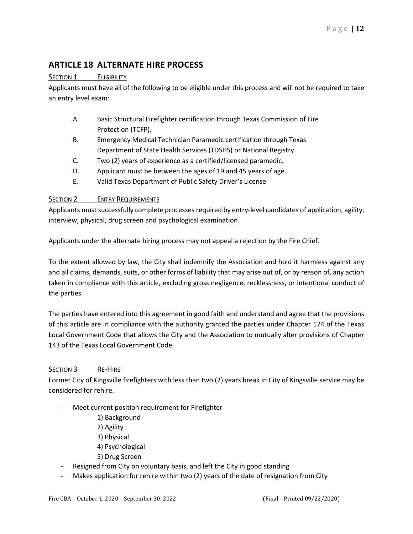#### <span id="page-11-0"></span>**ARTICLE 18 ALTERNATE HIRE PROCESS**

#### SECTION 1 ELIGIBILITY

Applicants must have all of the following to be eligible under this process and will not be required to take an entry level exam:

- A. Basic Structural Firefighter certification through Texas Commission of Fire Protection (TCFP).
- B. Emergency Medical Technician Paramedic certification through Texas Department of State Health Services (TDSHS) or National Registry.
- C. Two (2) years of experience as a certified/licensed paramedic.
- D. Applicant must be between the ages of 19 and 45 years of age.
- E. Valid Texas Department of Public Safety Driver's License

#### SECTION 2 ENTRY REQUIREMENTS

Applicants must successfully complete processes required by entry-level candidates of application, agility, interview, physical, drug screen and psychological examination.

Applicants under the alternate hiring process may not appeal a rejection by the Fire Chief.

To the extent allowed by law, the City shall indemnify the Association and hold it harmless against any and all claims, demands, suits, or other forms of liability that may arise out of, or by reason of, any action taken in compliance with this article, excluding gross negligence, recklessness, or intentional conduct of the parties.

The parties have entered into this agreement in good faith and understand and agree that the provisions of this article are in compliance with the authority granted the parties under Chapter 174 of the Texas Local Government Code that allows the City and the Association to mutually alter provisions of Chapter 143 of the Texas Local Government Code.

#### SECTION 3 RE-HIRE

Former City of Kingsville firefighters with less than two (2) years break in City of Kingsville service may be considered for rehire.

- Meet current position requirement for Firefighter
	- 1) Background
	- 2) Agility
	- 3) Physical
	- 4) Psychological
	- 5) Drug Screen
- Resigned from City on voluntary basis, and left the City in good standing
- Makes application for rehire within two (2) years of the date of resignation from City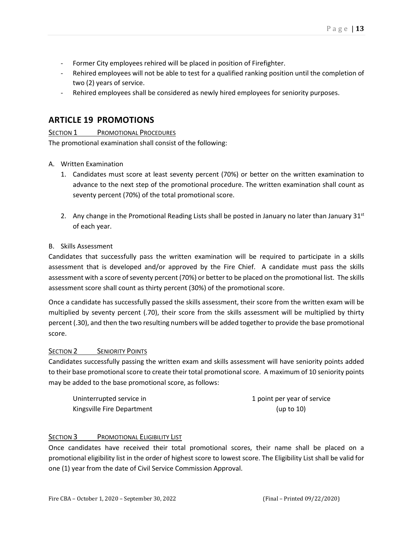- Former City employees rehired will be placed in position of Firefighter.
- Rehired employees will not be able to test for a qualified ranking position until the completion of two (2) years of service.
- Rehired employees shall be considered as newly hired employees for seniority purposes.

#### <span id="page-12-0"></span>**ARTICLE 19 PROMOTIONS**

SECTION 1 PROMOTIONAL PROCEDURES

The promotional examination shall consist of the following:

- A. Written Examination
	- 1. Candidates must score at least seventy percent (70%) or better on the written examination to advance to the next step of the promotional procedure. The written examination shall count as seventy percent (70%) of the total promotional score.
	- 2. Any change in the Promotional Reading Lists shall be posted in January no later than January  $31<sup>st</sup>$ of each year.

#### B. Skills Assessment

Candidates that successfully pass the written examination will be required to participate in a skills assessment that is developed and/or approved by the Fire Chief. A candidate must pass the skills assessment with a score of seventy percent (70%) or better to be placed on the promotional list. The skills assessment score shall count as thirty percent (30%) of the promotional score.

Once a candidate has successfully passed the skills assessment, their score from the written exam will be multiplied by seventy percent (.70), their score from the skills assessment will be multiplied by thirty percent (.30), and then the two resulting numbers will be added together to provide the base promotional score.

#### SECTION 2 SENIORITY POINTS

Candidates successfully passing the written exam and skills assessment will have seniority points added to their base promotional score to create their total promotional score. A maximum of 10 seniority points may be added to the base promotional score, as follows:

| Uninterrupted service in   | 1 point per year of service |
|----------------------------|-----------------------------|
| Kingsville Fire Department | (up to 10)                  |

#### SECTION 3 PROMOTIONAL ELIGIBILITY LIST

Once candidates have received their total promotional scores, their name shall be placed on a promotional eligibility list in the order of highest score to lowest score. The Eligibility List shall be valid for one (1) year from the date of Civil Service Commission Approval.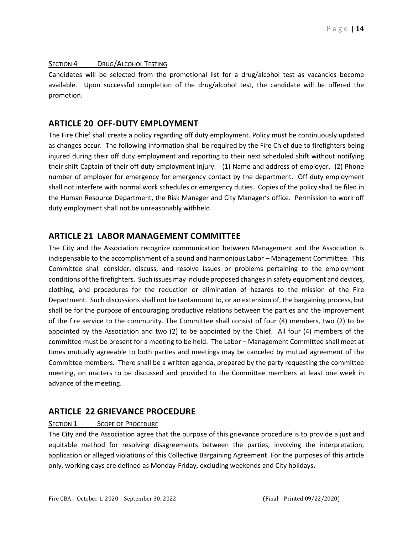#### SECTION 4 DRUG/ALCOHOL TESTING

Candidates will be selected from the promotional list for a drug/alcohol test as vacancies become available. Upon successful completion of the drug/alcohol test, the candidate will be offered the promotion.

#### <span id="page-13-0"></span>**ARTICLE 20 OFF-DUTY EMPLOYMENT**

The Fire Chief shall create a policy regarding off duty employment. Policy must be continuously updated as changes occur. The following information shall be required by the Fire Chief due to firefighters being injured during their off duty employment and reporting to their next scheduled shift without notifying their shift Captain of their off duty employment injury. (1) Name and address of employer. (2) Phone number of employer for emergency for emergency contact by the department. Off duty employment shall not interfere with normal work schedules or emergency duties. Copies of the policy shall be filed in the Human Resource Department, the Risk Manager and City Manager's office. Permission to work off duty employment shall not be unreasonably withheld.

#### <span id="page-13-1"></span>**ARTICLE 21 LABOR MANAGEMENT COMMITTEE**

The City and the Association recognize communication between Management and the Association is indispensable to the accomplishment of a sound and harmonious Labor – Management Committee. This Committee shall consider, discuss, and resolve issues or problems pertaining to the employment conditions of the firefighters. Such issues may include proposed changes in safety equipment and devices, clothing, and procedures for the reduction or elimination of hazards to the mission of the Fire Department. Such discussions shall not be tantamount to, or an extension of, the bargaining process, but shall be for the purpose of encouraging productive relations between the parties and the improvement of the fire service to the community. The Committee shall consist of four (4) members, two (2) to be appointed by the Association and two (2) to be appointed by the Chief. All four (4) members of the committee must be present for a meeting to be held. The Labor – Management Committee shall meet at times mutually agreeable to both parties and meetings may be canceled by mutual agreement of the Committee members. There shall be a written agenda, prepared by the party requesting the committee meeting, on matters to be discussed and provided to the Committee members at least one week in advance of the meeting.

#### <span id="page-13-2"></span>**ARTICLE 22 GRIEVANCE PROCEDURE**

#### SECTION 1 SCOPE OF PROCEDURE

The City and the Association agree that the purpose of this grievance procedure is to provide a just and equitable method for resolving disagreements between the parties, involving the interpretation, application or alleged violations of this Collective Bargaining Agreement. For the purposes of this article only, working days are defined as Monday-Friday, excluding weekends and City holidays.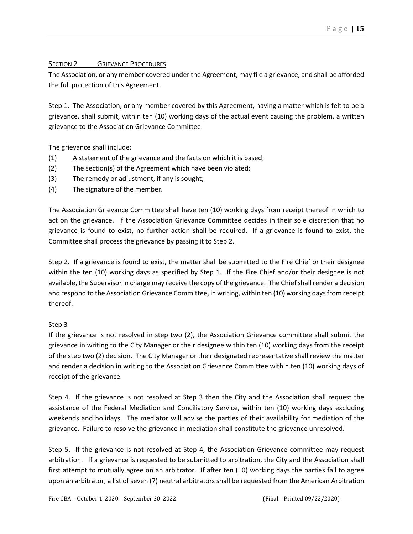#### SECTION 2 **GRIEVANCE PROCEDURES**

The Association, or any member covered under the Agreement, may file a grievance, and shall be afforded the full protection of this Agreement.

Step 1. The Association, or any member covered by this Agreement, having a matter which is felt to be a grievance, shall submit, within ten (10) working days of the actual event causing the problem, a written grievance to the Association Grievance Committee.

The grievance shall include:

- (1) A statement of the grievance and the facts on which it is based;
- (2) The section(s) of the Agreement which have been violated;
- (3) The remedy or adjustment, if any is sought;
- (4) The signature of the member.

The Association Grievance Committee shall have ten (10) working days from receipt thereof in which to act on the grievance. If the Association Grievance Committee decides in their sole discretion that no grievance is found to exist, no further action shall be required. If a grievance is found to exist, the Committee shall process the grievance by passing it to Step 2.

Step 2. If a grievance is found to exist, the matter shall be submitted to the Fire Chief or their designee within the ten (10) working days as specified by Step 1. If the Fire Chief and/or their designee is not available, the Supervisor in charge may receive the copy of the grievance. The Chief shall render a decision and respond to the Association Grievance Committee, in writing, within ten (10) working days from receipt thereof.

#### Step 3

If the grievance is not resolved in step two (2), the Association Grievance committee shall submit the grievance in writing to the City Manager or their designee within ten (10) working days from the receipt of the step two (2) decision. The City Manager or their designated representative shall review the matter and render a decision in writing to the Association Grievance Committee within ten (10) working days of receipt of the grievance.

Step 4. If the grievance is not resolved at Step 3 then the City and the Association shall request the assistance of the Federal Mediation and Conciliatory Service, within ten (10) working days excluding weekends and holidays. The mediator will advise the parties of their availability for mediation of the grievance. Failure to resolve the grievance in mediation shall constitute the grievance unresolved.

Step 5. If the grievance is not resolved at Step 4, the Association Grievance committee may request arbitration. If a grievance is requested to be submitted to arbitration, the City and the Association shall first attempt to mutually agree on an arbitrator. If after ten (10) working days the parties fail to agree upon an arbitrator, a list of seven (7) neutral arbitrators shall be requested from the American Arbitration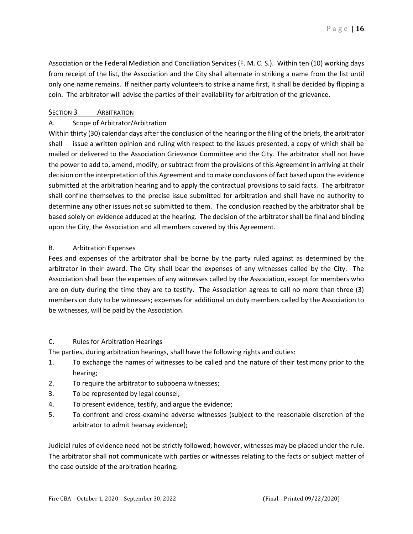Association or the Federal Mediation and Conciliation Services (F. M. C. S.). Within ten (10) working days from receipt of the list, the Association and the City shall alternate in striking a name from the list until only one name remains. If neither party volunteers to strike a name first, it shall be decided by flipping a coin. The arbitrator will advise the parties of their availability for arbitration of the grievance.

#### SECTION 3 **ARBITRATION**

#### A. Scope of Arbitrator/Arbitration

Within thirty (30) calendar days after the conclusion of the hearing or the filing of the briefs, the arbitrator shall issue a written opinion and ruling with respect to the issues presented, a copy of which shall be mailed or delivered to the Association Grievance Committee and the City. The arbitrator shall not have the power to add to, amend, modify, or subtract from the provisions of this Agreement in arriving at their decision on the interpretation of this Agreement and to make conclusions of fact based upon the evidence submitted at the arbitration hearing and to apply the contractual provisions to said facts. The arbitrator shall confine themselves to the precise issue submitted for arbitration and shall have no authority to determine any other issues not so submitted to them. The conclusion reached by the arbitrator shall be based solely on evidence adduced at the hearing. The decision of the arbitrator shall be final and binding upon the City, the Association and all members covered by this Agreement.

#### B. Arbitration Expenses

Fees and expenses of the arbitrator shall be borne by the party ruled against as determined by the arbitrator in their award. The City shall bear the expenses of any witnesses called by the City. The Association shall bear the expenses of any witnesses called by the Association, except for members who are on duty during the time they are to testify. The Association agrees to call no more than three (3) members on duty to be witnesses; expenses for additional on duty members called by the Association to be witnesses, will be paid by the Association.

#### C. Rules for Arbitration Hearings

The parties, during arbitration hearings, shall have the following rights and duties:

- 1. To exchange the names of witnesses to be called and the nature of their testimony prior to the hearing;
- 2. To require the arbitrator to subpoena witnesses;
- 3. To be represented by legal counsel;
- 4. To present evidence, testify, and argue the evidence;
- 5. To confront and cross-examine adverse witnesses (subject to the reasonable discretion of the arbitrator to admit hearsay evidence);

Judicial rules of evidence need not be strictly followed; however, witnesses may be placed under the rule. The arbitrator shall not communicate with parties or witnesses relating to the facts or subject matter of the case outside of the arbitration hearing.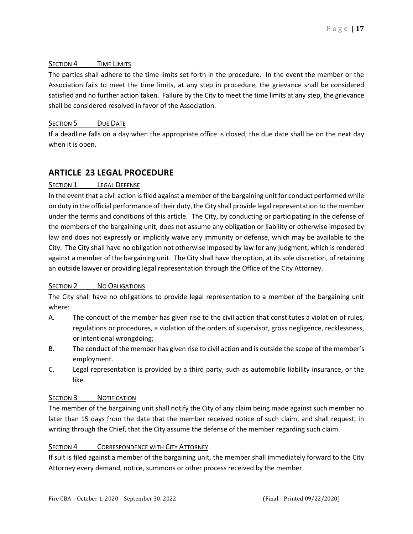#### SECTION 4 TIME LIMITS

The parties shall adhere to the time limits set forth in the procedure. In the event the member or the Association fails to meet the time limits, at any step in procedure, the grievance shall be considered satisfied and no further action taken. Failure by the City to meet the time limits at any step, the grievance shall be considered resolved in favor of the Association.

#### SECTION 5 DUE DATE

If a deadline falls on a day when the appropriate office is closed, the due date shall be on the next day when it is open.

#### <span id="page-16-0"></span>**ARTICLE 23 LEGAL PROCEDURE**

#### SECTION 1 LEGAL DEFENSE

In the event that a civil action is filed against a member of the bargaining unit for conduct performed while on duty in the official performance of their duty, the City shall provide legal representation to the member under the terms and conditions of this article. The City, by conducting or participating in the defense of the members of the bargaining unit, does not assume any obligation or liability or otherwise imposed by law and does not expressly or implicitly waive any immunity or defense, which may be available to the City. The City shall have no obligation not otherwise imposed by law for any judgment, which is rendered against a member of the bargaining unit. The City shall have the option, at its sole discretion, of retaining an outside lawyer or providing legal representation through the Office of the City Attorney.

#### SECTION 2 NO OBLIGATIONS

The City shall have no obligations to provide legal representation to a member of the bargaining unit where:

- A. The conduct of the member has given rise to the civil action that constitutes a violation of rules, regulations or procedures, a violation of the orders of supervisor, gross negligence, recklessness, or intentional wrongdoing;
- B. The conduct of the member has given rise to civil action and is outside the scope of the member's employment.
- C. Legal representation is provided by a third party, such as automobile liability insurance, or the like.

#### SECTION 3 NOTIFICATION

The member of the bargaining unit shall notify the City of any claim being made against such member no later than 15 days from the date that the member received notice of such claim, and shall request, in writing through the Chief, that the City assume the defense of the member regarding such claim.

#### SECTION 4 CORRESPONDENCE WITH CITY ATTORNEY

If suit is filed against a member of the bargaining unit, the member shall immediately forward to the City Attorney every demand, notice, summons or other process received by the member.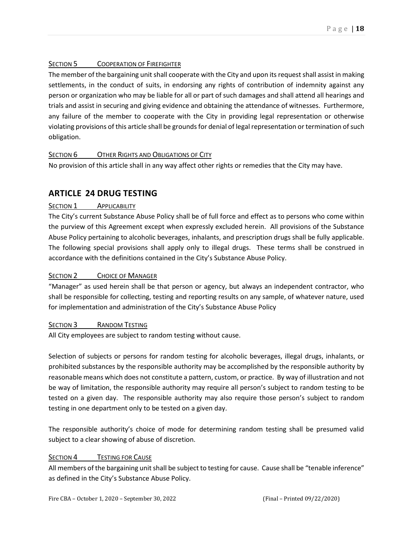#### SECTION 5 COOPERATION OF FIREFIGHTER

The member of the bargaining unit shall cooperate with the City and upon its request shall assist in making settlements, in the conduct of suits, in endorsing any rights of contribution of indemnity against any person or organization who may be liable for all or part of such damages and shall attend all hearings and trials and assist in securing and giving evidence and obtaining the attendance of witnesses. Furthermore, any failure of the member to cooperate with the City in providing legal representation or otherwise violating provisions of this article shall be grounds for denial of legal representation or termination of such obligation.

#### SECTION 6 OTHER RIGHTS AND OBLIGATIONS OF CITY

<span id="page-17-0"></span>No provision of this article shall in any way affect other rights or remedies that the City may have.

#### **ARTICLE 24 DRUG TESTING**

#### SECTION 1 APPLICABILITY

The City's current Substance Abuse Policy shall be of full force and effect as to persons who come within the purview of this Agreement except when expressly excluded herein. All provisions of the Substance Abuse Policy pertaining to alcoholic beverages, inhalants, and prescription drugs shall be fully applicable. The following special provisions shall apply only to illegal drugs. These terms shall be construed in accordance with the definitions contained in the City's Substance Abuse Policy.

#### SECTION 2 **CHOICE OF MANAGER**

"Manager" as used herein shall be that person or agency, but always an independent contractor, who shall be responsible for collecting, testing and reporting results on any sample, of whatever nature, used for implementation and administration of the City's Substance Abuse Policy

#### SECTION 3 RANDOM TESTING

All City employees are subject to random testing without cause.

Selection of subjects or persons for random testing for alcoholic beverages, illegal drugs, inhalants, or prohibited substances by the responsible authority may be accomplished by the responsible authority by reasonable means which does not constitute a pattern, custom, or practice. By way of illustration and not be way of limitation, the responsible authority may require all person's subject to random testing to be tested on a given day. The responsible authority may also require those person's subject to random testing in one department only to be tested on a given day.

The responsible authority's choice of mode for determining random testing shall be presumed valid subject to a clear showing of abuse of discretion.

#### SECTION 4 **TESTING FOR CAUSE**

All members of the bargaining unit shall be subject to testing for cause. Cause shall be "tenable inference" as defined in the City's Substance Abuse Policy.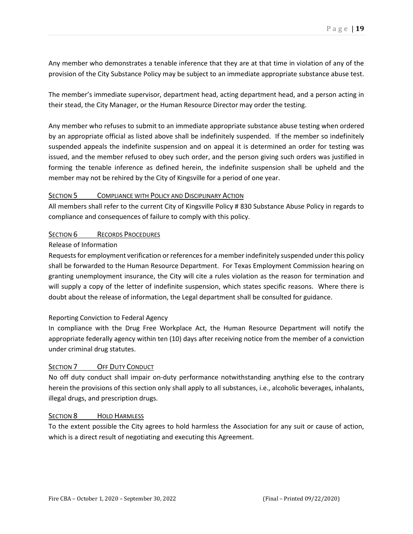Any member who demonstrates a tenable inference that they are at that time in violation of any of the provision of the City Substance Policy may be subject to an immediate appropriate substance abuse test.

The member's immediate supervisor, department head, acting department head, and a person acting in their stead, the City Manager, or the Human Resource Director may order the testing.

Any member who refuses to submit to an immediate appropriate substance abuse testing when ordered by an appropriate official as listed above shall be indefinitely suspended. If the member so indefinitely suspended appeals the indefinite suspension and on appeal it is determined an order for testing was issued, and the member refused to obey such order, and the person giving such orders was justified in forming the tenable inference as defined herein, the indefinite suspension shall be upheld and the member may not be rehired by the City of Kingsville for a period of one year.

#### SECTION 5 COMPLIANCE WITH POLICY AND DISCIPLINARY ACTION

All members shall refer to the current City of Kingsville Policy # 830 Substance Abuse Policy in regards to compliance and consequences of failure to comply with this policy.

#### SECTION 6 RECORDS PROCEDURES

#### Release of Information

Requests for employment verification or references for a member indefinitely suspended under this policy shall be forwarded to the Human Resource Department. For Texas Employment Commission hearing on granting unemployment insurance, the City will cite a rules violation as the reason for termination and will supply a copy of the letter of indefinite suspension, which states specific reasons. Where there is doubt about the release of information, the Legal department shall be consulted for guidance.

#### Reporting Conviction to Federal Agency

In compliance with the Drug Free Workplace Act, the Human Resource Department will notify the appropriate federally agency within ten (10) days after receiving notice from the member of a conviction under criminal drug statutes.

#### SECTION 7 OFF DUTY CONDUCT

No off duty conduct shall impair on-duty performance notwithstanding anything else to the contrary herein the provisions of this section only shall apply to all substances, i.e., alcoholic beverages, inhalants, illegal drugs, and prescription drugs.

#### SECTION 8 HOLD HARMLESS

To the extent possible the City agrees to hold harmless the Association for any suit or cause of action, which is a direct result of negotiating and executing this Agreement.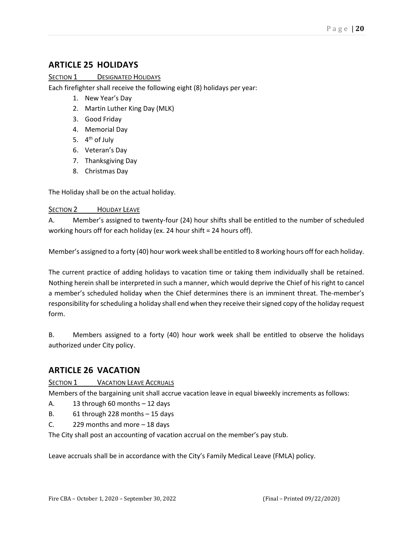#### <span id="page-19-0"></span>**ARTICLE 25 HOLIDAYS**

#### SECTION 1 DESIGNATED HOLIDAYS

Each firefighter shall receive the following eight (8) holidays per year:

- 1. New Year's Day
- 2. Martin Luther King Day (MLK)
- 3. Good Friday
- 4. Memorial Day
- 5. 4<sup>th</sup> of July
- 6. Veteran's Day
- 7. Thanksgiving Day
- 8. Christmas Day

The Holiday shall be on the actual holiday.

#### SECTION 2 HOLIDAY LEAVE

A. Member's assigned to twenty-four (24) hour shifts shall be entitled to the number of scheduled working hours off for each holiday (ex. 24 hour shift = 24 hours off).

Member's assigned to a forty (40) hour work week shall be entitled to 8 working hours off for each holiday.

The current practice of adding holidays to vacation time or taking them individually shall be retained. Nothing herein shall be interpreted in such a manner, which would deprive the Chief of his right to cancel a member's scheduled holiday when the Chief determines there is an imminent threat. The member's responsibility for scheduling a holiday shall end when they receive their signed copy of the holiday request form.

B. Members assigned to a forty (40) hour work week shall be entitled to observe the holidays authorized under City policy.

#### <span id="page-19-1"></span>**ARTICLE 26 VACATION**

SECTION 1 VACATION LEAVE ACCRUALS

Members of the bargaining unit shall accrue vacation leave in equal biweekly increments as follows:

A. 13 through 60 months – 12 days

- B. 61 through 228 months 15 days
- C. 229 months and more 18 days

The City shall post an accounting of vacation accrual on the member's pay stub.

Leave accruals shall be in accordance with the City's Family Medical Leave (FMLA) policy.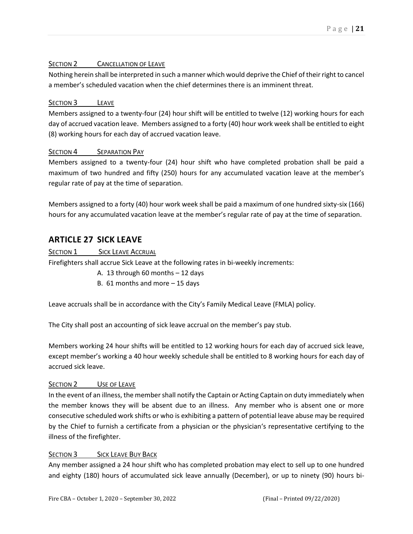#### SECTION 2 CANCELLATION OF LEAVE

Nothing herein shall be interpreted in such a manner which would deprive the Chief of their right to cancel a member's scheduled vacation when the chief determines there is an imminent threat.

#### SECTION 3 LEAVE

Members assigned to a twenty-four (24) hour shift will be entitled to twelve (12) working hours for each day of accrued vacation leave. Members assigned to a forty (40) hour work week shall be entitled to eight (8) working hours for each day of accrued vacation leave.

#### SECTION 4 SEPARATION PAY

Members assigned to a twenty-four (24) hour shift who have completed probation shall be paid a maximum of two hundred and fifty (250) hours for any accumulated vacation leave at the member's regular rate of pay at the time of separation.

Members assigned to a forty (40) hour work week shall be paid a maximum of one hundred sixty-six (166) hours for any accumulated vacation leave at the member's regular rate of pay at the time of separation.

#### <span id="page-20-0"></span>**ARTICLE 27 SICK LEAVE**

SECTION 1 SICK LEAVE ACCRUAL

Firefighters shall accrue Sick Leave at the following rates in bi-weekly increments:

- A. 13 through 60 months 12 days
- B. 61 months and more 15 days

Leave accruals shall be in accordance with the City's Family Medical Leave (FMLA) policy.

The City shall post an accounting of sick leave accrual on the member's pay stub.

Members working 24 hour shifts will be entitled to 12 working hours for each day of accrued sick leave, except member's working a 40 hour weekly schedule shall be entitled to 8 working hours for each day of accrued sick leave.

#### SECTION 2 USE OF LEAVE

In the event of an illness, the member shall notify the Captain or Acting Captain on duty immediately when the member knows they will be absent due to an illness. Any member who is absent one or more consecutive scheduled work shifts or who is exhibiting a pattern of potential leave abuse may be required by the Chief to furnish a certificate from a physician or the physician's representative certifying to the illness of the firefighter.

#### SECTION 3 SICK LEAVE BUY BACK

Any member assigned a 24 hour shift who has completed probation may elect to sell up to one hundred and eighty (180) hours of accumulated sick leave annually (December), or up to ninety (90) hours bi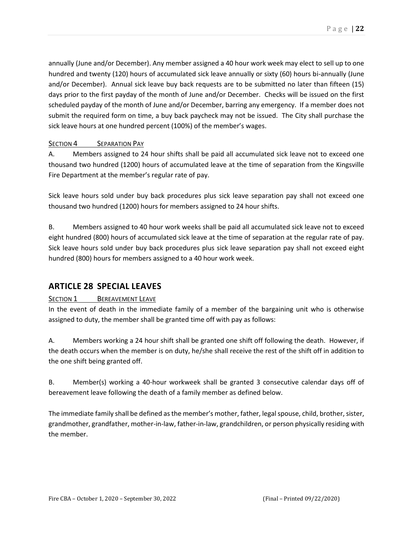annually (June and/or December). Any member assigned a 40 hour work week may elect to sell up to one hundred and twenty (120) hours of accumulated sick leave annually or sixty (60) hours bi-annually (June and/or December). Annual sick leave buy back requests are to be submitted no later than fifteen (15) days prior to the first payday of the month of June and/or December. Checks will be issued on the first scheduled payday of the month of June and/or December, barring any emergency. If a member does not submit the required form on time, a buy back paycheck may not be issued. The City shall purchase the sick leave hours at one hundred percent (100%) of the member's wages.

#### SECTION 4 **SEPARATION PAY**

A. Members assigned to 24 hour shifts shall be paid all accumulated sick leave not to exceed one thousand two hundred (1200) hours of accumulated leave at the time of separation from the Kingsville Fire Department at the member's regular rate of pay.

Sick leave hours sold under buy back procedures plus sick leave separation pay shall not exceed one thousand two hundred (1200) hours for members assigned to 24 hour shifts.

B. Members assigned to 40 hour work weeks shall be paid all accumulated sick leave not to exceed eight hundred (800) hours of accumulated sick leave at the time of separation at the regular rate of pay. Sick leave hours sold under buy back procedures plus sick leave separation pay shall not exceed eight hundred (800) hours for members assigned to a 40 hour work week.

#### <span id="page-21-0"></span>**ARTICLE 28 SPECIAL LEAVES**

#### SECTION 1 BEREAVEMENT LEAVE

In the event of death in the immediate family of a member of the bargaining unit who is otherwise assigned to duty, the member shall be granted time off with pay as follows:

A. Members working a 24 hour shift shall be granted one shift off following the death. However, if the death occurs when the member is on duty, he/she shall receive the rest of the shift off in addition to the one shift being granted off.

B. Member(s) working a 40-hour workweek shall be granted 3 consecutive calendar days off of bereavement leave following the death of a family member as defined below.

The immediate family shall be defined as the member's mother, father, legal spouse, child, brother, sister, grandmother, grandfather, mother-in-law, father-in-law, grandchildren, or person physically residing with the member.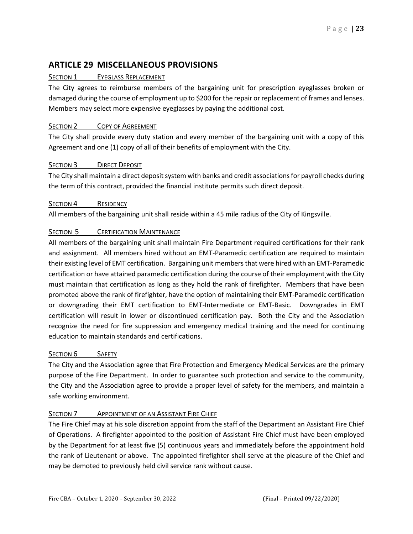#### <span id="page-22-0"></span>**ARTICLE 29 MISCELLANEOUS PROVISIONS**

#### SECTION 1 EYEGLASS REPLACEMENT

The City agrees to reimburse members of the bargaining unit for prescription eyeglasses broken or damaged during the course of employment up to \$200 for the repair or replacement of frames and lenses. Members may select more expensive eyeglasses by paying the additional cost.

#### SECTION 2 COPY OF AGREEMENT

The City shall provide every duty station and every member of the bargaining unit with a copy of this Agreement and one (1) copy of all of their benefits of employment with the City.

#### SECTION 3 DIRECT DEPOSIT

The City shall maintain a direct deposit system with banks and credit associations for payroll checks during the term of this contract, provided the financial institute permits such direct deposit.

#### SECTION 4 RESIDENCY

All members of the bargaining unit shall reside within a 45 mile radius of the City of Kingsville.

#### SECTION 5 **CERTIFICATION MAINTENANCE**

All members of the bargaining unit shall maintain Fire Department required certifications for their rank and assignment. All members hired without an EMT-Paramedic certification are required to maintain their existing level of EMT certification. Bargaining unit members that were hired with an EMT-Paramedic certification or have attained paramedic certification during the course of their employment with the City must maintain that certification as long as they hold the rank of firefighter. Members that have been promoted above the rank of firefighter, have the option of maintaining their EMT-Paramedic certification or downgrading their EMT certification to EMT-Intermediate or EMT-Basic. Downgrades in EMT certification will result in lower or discontinued certification pay. Both the City and the Association recognize the need for fire suppression and emergency medical training and the need for continuing education to maintain standards and certifications.

#### SECTION 6 SAFETY

The City and the Association agree that Fire Protection and Emergency Medical Services are the primary purpose of the Fire Department. In order to guarantee such protection and service to the community, the City and the Association agree to provide a proper level of safety for the members, and maintain a safe working environment.

#### SECTION 7 APPOINTMENT OF AN ASSISTANT FIRE CHIEF

The Fire Chief may at his sole discretion appoint from the staff of the Department an Assistant Fire Chief of Operations. A firefighter appointed to the position of Assistant Fire Chief must have been employed by the Department for at least five (5) continuous years and immediately before the appointment hold the rank of Lieutenant or above. The appointed firefighter shall serve at the pleasure of the Chief and may be demoted to previously held civil service rank without cause.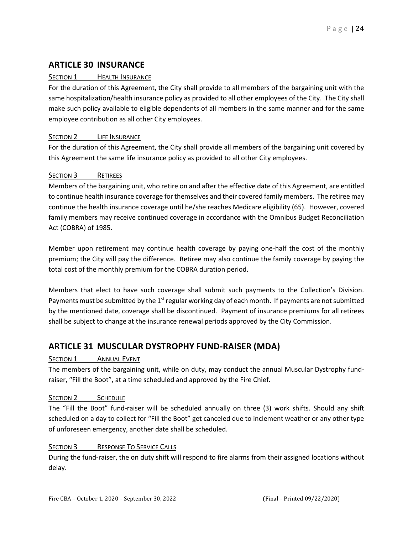#### <span id="page-23-0"></span>**ARTICLE 30 INSURANCE**

#### SECTION 1 HEALTH INSURANCE

For the duration of this Agreement, the City shall provide to all members of the bargaining unit with the same hospitalization/health insurance policy as provided to all other employees of the City. The City shall make such policy available to eligible dependents of all members in the same manner and for the same employee contribution as all other City employees.

#### SECTION 2 LIFE INSURANCE

For the duration of this Agreement, the City shall provide all members of the bargaining unit covered by this Agreement the same life insurance policy as provided to all other City employees.

#### SECTION 3 RETIREES

Members of the bargaining unit, who retire on and after the effective date of this Agreement, are entitled to continue health insurance coverage for themselves and their covered family members. The retiree may continue the health insurance coverage until he/she reaches Medicare eligibility (65). However, covered family members may receive continued coverage in accordance with the Omnibus Budget Reconciliation Act (COBRA) of 1985.

Member upon retirement may continue health coverage by paying one-half the cost of the monthly premium; the City will pay the difference. Retiree may also continue the family coverage by paying the total cost of the monthly premium for the COBRA duration period.

Members that elect to have such coverage shall submit such payments to the Collection's Division. Payments must be submitted by the 1<sup>st</sup> regular working day of each month. If payments are not submitted by the mentioned date, coverage shall be discontinued. Payment of insurance premiums for all retirees shall be subject to change at the insurance renewal periods approved by the City Commission.

#### <span id="page-23-1"></span>**ARTICLE 31 MUSCULAR DYSTROPHY FUND-RAISER (MDA)**

#### SECTION 1 ANNUAL EVENT

The members of the bargaining unit, while on duty, may conduct the annual Muscular Dystrophy fundraiser, "Fill the Boot", at a time scheduled and approved by the Fire Chief.

#### SECTION 2 SCHEDULE

The "Fill the Boot" fund-raiser will be scheduled annually on three (3) work shifts. Should any shift scheduled on a day to collect for "Fill the Boot" get canceled due to inclement weather or any other type of unforeseen emergency, another date shall be scheduled.

#### SECTION 3 RESPONSE TO SERVICE CALLS

During the fund-raiser, the on duty shift will respond to fire alarms from their assigned locations without delay.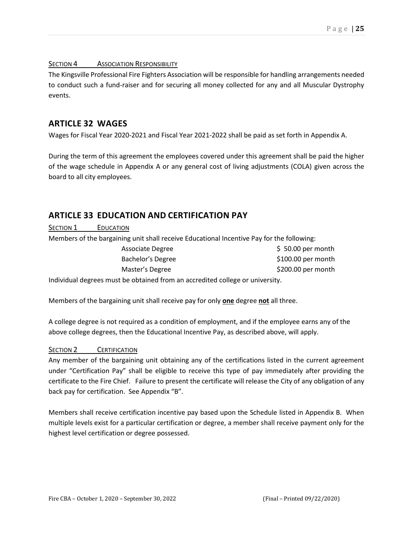#### SECTION 4 ASSOCIATION RESPONSIBILITY

The Kingsville Professional Fire Fighters Association will be responsible for handling arrangements needed to conduct such a fund-raiser and for securing all money collected for any and all Muscular Dystrophy events.

#### <span id="page-24-0"></span>**ARTICLE 32 WAGES**

Wages for Fiscal Year 2020-2021 and Fiscal Year 2021-2022 shall be paid as set forth in Appendix A.

During the term of this agreement the employees covered under this agreement shall be paid the higher of the wage schedule in Appendix A or any general cost of living adjustments (COLA) given across the board to all city employees.

#### <span id="page-24-1"></span>**ARTICLE 33 EDUCATION AND CERTIFICATION PAY**

SECTION 1 EDUCATION

Members of the bargaining unit shall receive Educational Incentive Pay for the following:

| $$50.00$ per month  |
|---------------------|
| $$100.00$ per month |
| \$200.00 per month  |
|                     |

Individual degrees must be obtained from an accredited college or university.

Members of the bargaining unit shall receive pay for only **one** degree **not** all three.

A college degree is not required as a condition of employment, and if the employee earns any of the above college degrees, then the Educational Incentive Pay, as described above, will apply.

#### SECTION 2 **CERTIFICATION**

Any member of the bargaining unit obtaining any of the certifications listed in the current agreement under "Certification Pay" shall be eligible to receive this type of pay immediately after providing the certificate to the Fire Chief. Failure to present the certificate will release the City of any obligation of any back pay for certification. See Appendix "B".

Members shall receive certification incentive pay based upon the Schedule listed in Appendix B. When multiple levels exist for a particular certification or degree, a member shall receive payment only for the highest level certification or degree possessed.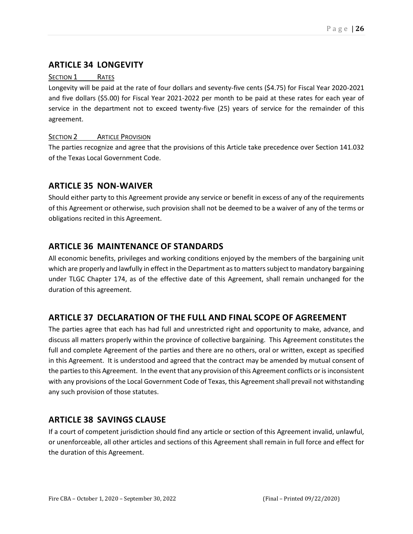#### <span id="page-25-0"></span>**ARTICLE 34 LONGEVITY**

#### SECTION 1 RATES

Longevity will be paid at the rate of four dollars and seventy-five cents (\$4.75) for Fiscal Year 2020-2021 and five dollars (\$5.00) for Fiscal Year 2021-2022 per month to be paid at these rates for each year of service in the department not to exceed twenty-five (25) years of service for the remainder of this agreement.

#### SECTION 2 **ARTICLE PROVISION**

The parties recognize and agree that the provisions of this Article take precedence over Section 141.032 of the Texas Local Government Code.

#### <span id="page-25-1"></span>**ARTICLE 35 NON-WAIVER**

Should either party to this Agreement provide any service or benefit in excess of any of the requirements of this Agreement or otherwise, such provision shall not be deemed to be a waiver of any of the terms or obligations recited in this Agreement.

#### <span id="page-25-2"></span>**ARTICLE 36 MAINTENANCE OF STANDARDS**

All economic benefits, privileges and working conditions enjoyed by the members of the bargaining unit which are properly and lawfully in effect in the Department as to matters subject to mandatory bargaining under TLGC Chapter 174, as of the effective date of this Agreement, shall remain unchanged for the duration of this agreement.

#### <span id="page-25-3"></span>**ARTICLE 37 DECLARATION OF THE FULL AND FINAL SCOPE OF AGREEMENT**

The parties agree that each has had full and unrestricted right and opportunity to make, advance, and discuss all matters properly within the province of collective bargaining. This Agreement constitutes the full and complete Agreement of the parties and there are no others, oral or written, except as specified in this Agreement. It is understood and agreed that the contract may be amended by mutual consent of the parties to this Agreement. In the event that any provision of this Agreement conflicts or is inconsistent with any provisions of the Local Government Code of Texas, this Agreement shall prevail not withstanding any such provision of those statutes.

#### <span id="page-25-4"></span>**ARTICLE 38 SAVINGS CLAUSE**

If a court of competent jurisdiction should find any article or section of this Agreement invalid, unlawful, or unenforceable, all other articles and sections of this Agreement shall remain in full force and effect for the duration of this Agreement.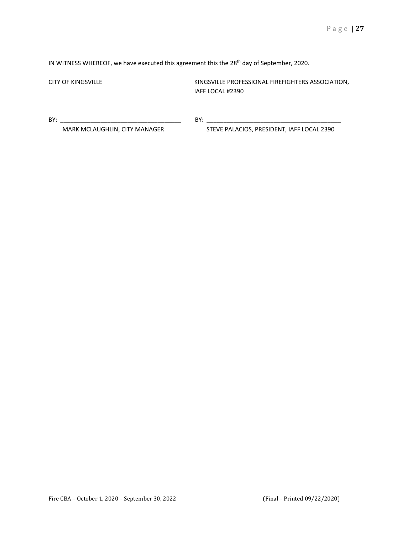IN WITNESS WHEREOF, we have executed this agreement this the 28<sup>th</sup> day of September, 2020.

CITY OF KINGSVILLE CITY OF KINGSVILLE KINGSVILLE PROFESSIONAL FIREFIGHTERS ASSOCIATION, IAFF LOCAL #2390

BY: \_\_\_\_\_\_\_\_\_\_\_\_\_\_\_\_\_\_\_\_\_\_\_\_\_\_\_\_\_\_\_\_\_\_\_\_ BY: \_\_\_\_\_\_\_\_\_\_\_\_\_\_\_\_\_\_\_\_\_\_\_\_\_\_\_\_\_\_\_\_\_\_\_\_\_\_\_\_

MARK MCLAUGHLIN, CITY MANAGER STEVE PALACIOS, PRESIDENT, IAFF LOCAL 2390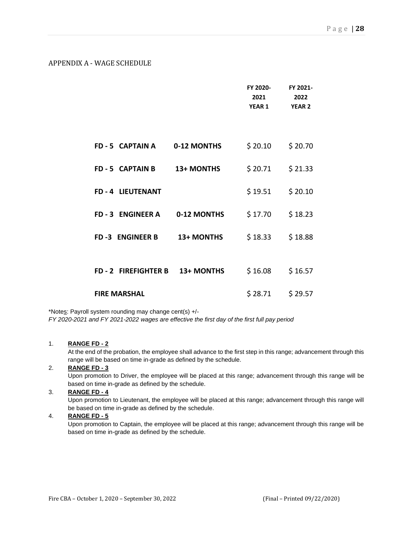#### <span id="page-27-0"></span>APPENDIX A - WAGE SCHEDULE

|                               |             | FY 2020-<br>2021<br><b>YEAR 1</b> | FY 2021-<br>2022<br><b>YEAR 2</b> |
|-------------------------------|-------------|-----------------------------------|-----------------------------------|
|                               |             |                                   |                                   |
| FD-5 CAPTAIN A                | 0-12 MONTHS | \$20.10                           | \$20.70                           |
| FD-5 CAPTAIN B                | 13+ MONTHS  | \$20.71                           | \$21.33                           |
| FD-4 LIEUTENANT               |             | \$19.51                           | \$20.10                           |
| FD-3 ENGINEER A               | 0-12 MONTHS | \$17.70                           | \$18.23                           |
| <b>FD-3 ENGINEER B</b>        | 13+ MONTHS  | \$18.33                           | \$18.88                           |
|                               |             |                                   |                                   |
| FD-2 FIREFIGHTER B 13+ MONTHS |             | \$16.08                           | \$16.57                           |
| <b>FIRE MARSHAL</b>           |             | \$28.71                           | \$29.57                           |

\*Notes: Payroll system rounding may change cent(s) +/-

*FY 2020-2021 and FY 2021-2022 wages are effective the first day of the first full pay period*

#### 1. **RANGE FD - 2**

At the end of the probation, the employee shall advance to the first step in this range; advancement through this range will be based on time in-grade as defined by the schedule.

#### 2. **RANGE FD - 3**

Upon promotion to Driver, the employee will be placed at this range; advancement through this range will be based on time in-grade as defined by the schedule.

#### 3. **RANGE FD - 4**

Upon promotion to Lieutenant, the employee will be placed at this range; advancement through this range will be based on time in-grade as defined by the schedule.

#### 4. **RANGE FD - 5**

Upon promotion to Captain, the employee will be placed at this range; advancement through this range will be based on time in-grade as defined by the schedule.